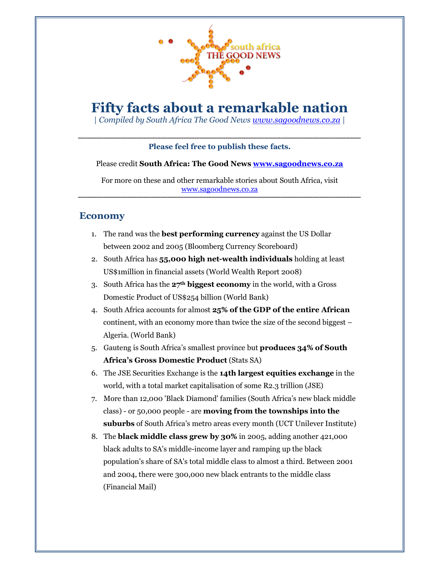

# Fifty facts about a remarkable nation

| Compiled by South Africa The Good News www.sagoodnews.co.za |

#### Please feel free to publish these facts.

#### Please credit South Africa: The Good News **www.sagoodnews.co.za**

For more on these and other remarkable stories about South Africa, visit www.sagoodnews.co.za

#### Economy

- 1. The rand was the best performing currency against the US Dollar between 2002 and 2005 (Bloomberg Currency Scoreboard)
- 2. South Africa has 55,000 high net-wealth individuals holding at least US\$1million in financial assets (World Wealth Report 2008)
- 3. South Africa has the 27<sup>th</sup> biggest economy in the world, with a Gross Domestic Product of US\$254 billion (World Bank)
- 4. South Africa accounts for almost 25% of the GDP of the entire African continent, with an economy more than twice the size of the second biggest – Algeria. (World Bank)
- 5. Gauteng is South Africa's smallest province but produces 34% of South Africa's Gross Domestic Product (Stats SA)
- 6. The JSE Securities Exchange is the 14th largest equities exchange in the world, with a total market capitalisation of some R2.3 trillion (JSE)
- 7. More than 12,000 'Black Diamond' families (South Africa's new black middle class) - or 50,000 people - are moving from the townships into the suburbs of South Africa's metro areas every month (UCT Unilever Institute)
- 8. The black middle class grew by 30% in 2005, adding another 421,000 black adults to SA's middle-income layer and ramping up the black population's share of SA's total middle class to almost a third. Between 2001 and 2004, there were 300,000 new black entrants to the middle class (Financial Mail)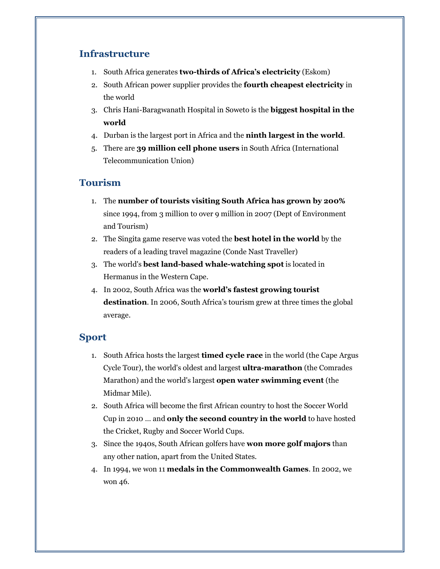# Infrastructure

- 1. South Africa generates two-thirds of Africa's electricity (Eskom)
- 2. South African power supplier provides the fourth cheapest electricity in the world
- 3. Chris Hani-Baragwanath Hospital in Soweto is the biggest hospital in the world
- 4. Durban is the largest port in Africa and the ninth largest in the world.
- 5. There are 39 million cell phone users in South Africa (International Telecommunication Union)

# Tourism

- 1. The number of tourists visiting South Africa has grown by 200% since 1994, from 3 million to over 9 million in 2007 (Dept of Environment and Tourism)
- 2. The Singita game reserve was voted the best hotel in the world by the readers of a leading travel magazine (Conde Nast Traveller)
- 3. The world's best land-based whale-watching spot is located in Hermanus in the Western Cape.
- 4. In 2002, South Africa was the world's fastest growing tourist destination. In 2006, South Africa's tourism grew at three times the global average.

## Sport

- 1. South Africa hosts the largest **timed cycle race** in the world (the Cape Argus Cycle Tour), the world's oldest and largest ultra-marathon (the Comrades Marathon) and the world's largest open water swimming event (the Midmar Mile).
- 2. South Africa will become the first African country to host the Soccer World Cup in 2010 … and only the second country in the world to have hosted the Cricket, Rugby and Soccer World Cups.
- 3. Since the 1940s, South African golfers have won more golf majors than any other nation, apart from the United States.
- 4. In 1994, we won 11 medals in the Commonwealth Games. In 2002, we won 46.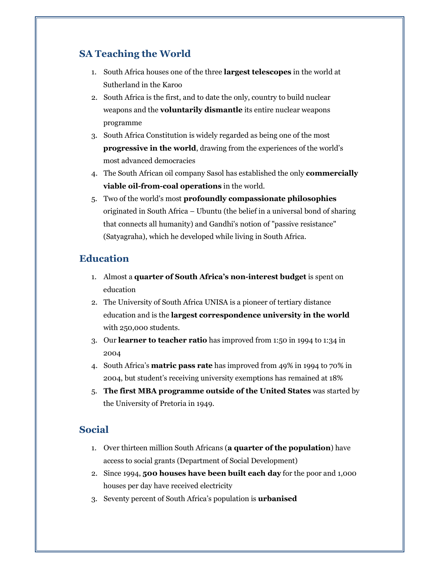# SA Teaching the World

- 1. South Africa houses one of the three largest telescopes in the world at Sutherland in the Karoo
- 2. South Africa is the first, and to date the only, country to build nuclear weapons and the voluntarily dismantle its entire nuclear weapons programme
- 3. South Africa Constitution is widely regarded as being one of the most progressive in the world, drawing from the experiences of the world's most advanced democracies
- 4. The South African oil company Sasol has established the only commercially viable oil-from-coal operations in the world.
- 5. Two of the world's most profoundly compassionate philosophies originated in South Africa – Ubuntu (the belief in a universal bond of sharing that connects all humanity) and Gandhi's notion of "passive resistance" (Satyagraha), which he developed while living in South Africa.

## **Education**

- 1. Almost a quarter of South Africa's non-interest budget is spent on education
- 2. The University of South Africa UNISA is a pioneer of tertiary distance education and is the largest correspondence university in the world with 250,000 students.
- 3. Our learner to teacher ratio has improved from 1:50 in 1994 to 1:34 in 2004
- 4. South Africa's matric pass rate has improved from 49% in 1994 to 70% in 2004, but student's receiving university exemptions has remained at 18%
- 5. The first MBA programme outside of the United States was started by the University of Pretoria in 1949.

# Social

- 1. Over thirteen million South Africans (a quarter of the population) have access to social grants (Department of Social Development)
- 2. Since 1994, 500 houses have been built each day for the poor and 1,000 houses per day have received electricity
- 3. Seventy percent of South Africa's population is urbanised